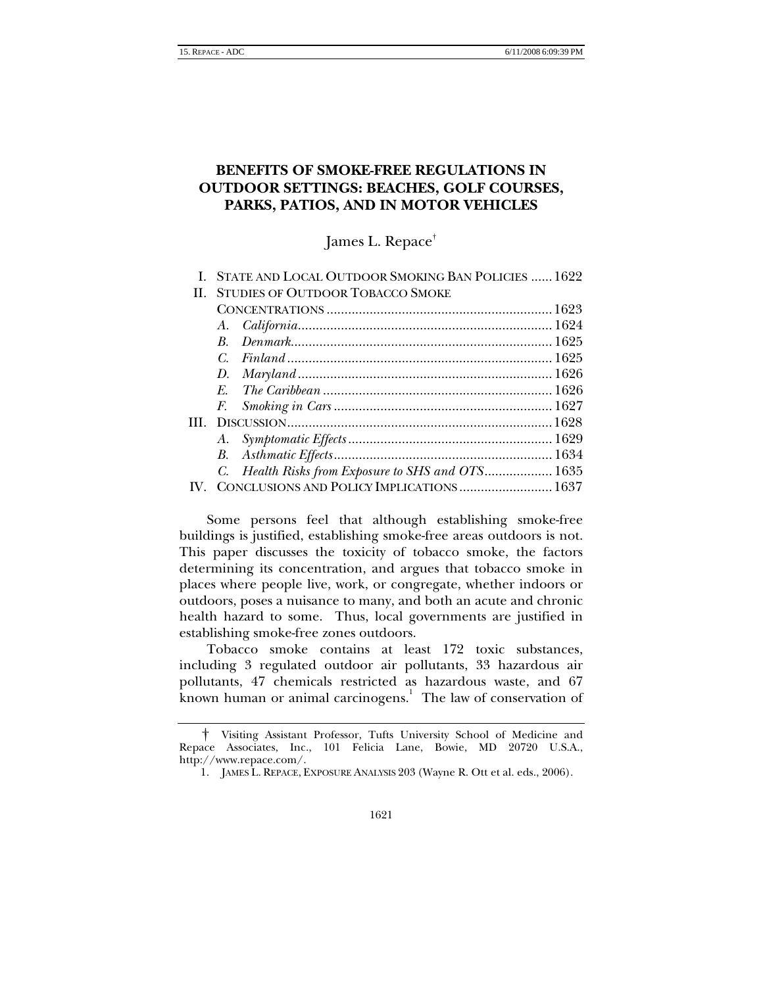# **BENEFITS OF SMOKE-FREE REGULATIONS IN OUTDOOR SETTINGS: BEACHES, GOLF COURSES, PARKS, PATIOS, AND IN MOTOR VEHICLES**

James L. Repace[†](#page-0-0)

| STATE AND LOCAL OUTDOOR SMOKING BAN POLICIES  1622 |  |
|----------------------------------------------------|--|
| <b>STUDIES OF OUTDOOR TOBACCO SMOKE</b><br>Н.      |  |
|                                                    |  |
|                                                    |  |
| $\boldsymbol{R}$                                   |  |
| Final and 1625<br>C.                               |  |
| D.                                                 |  |
|                                                    |  |
|                                                    |  |
|                                                    |  |
|                                                    |  |
|                                                    |  |
| C. Health Risks from Exposure to SHS and OTS 1635  |  |
| CONCLUSIONS AND POLICY IMPLICATIONS  1637          |  |

Some persons feel that although establishing smoke-free buildings is justified, establishing smoke-free areas outdoors is not. This paper discusses the toxicity of tobacco smoke, the factors determining its concentration, and argues that tobacco smoke in places where people live, work, or congregate, whether indoors or outdoors, poses a nuisance to many, and both an acute and chronic health hazard to some. Thus, local governments are justified in establishing smoke-free zones outdoors.

Tobacco smoke contains at least 172 toxic substances, including 3 regulated outdoor air pollutants, 33 hazardous air pollutants, 47 chemicals restricted as hazardous waste, and 67 known human or animal carcinogens.<sup>[1](#page-0-1)</sup> The law of conservation of

<span id="page-0-0"></span><sup>†</sup> Visiting Assistant Professor, Tufts University School of Medicine and Repace Associates, Inc., 101 Felicia Lane, Bowie, MD 20720 U.S.A., http://www.repace.com/.

<span id="page-0-1"></span><sup>1.</sup> JAMES L. REPACE, EXPOSURE ANALYSIS 203 (Wayne R. Ott et al. eds., 2006).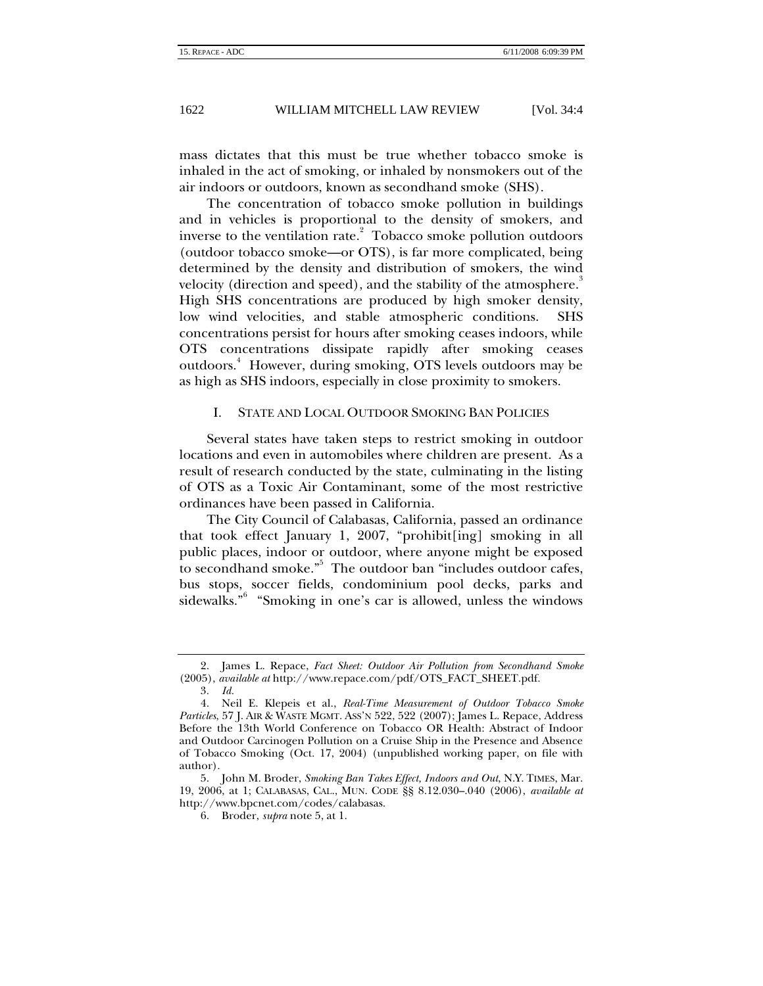<span id="page-1-0"></span>mass dictates that this must be true whether tobacco smoke is inhaled in the act of smoking, or inhaled by nonsmokers out of the air indoors or outdoors, known as secondhand smoke (SHS).

The concentration of tobacco smoke pollution in buildings and in vehicles is proportional to the density of smokers, and inverse to the ventilation rate. $3\overline{2}$  $3\overline{2}$  $3\overline{2}$  Tobacco smoke pollution outdoors (outdoor tobacco smoke—or OTS), is far more complicated, being determined by the density and distribution of smokers, the wind velocity (direction and speed), and the stability of the atmosphere. High SHS concentrations are produced by high smoker density, low wind velocities, and stable atmospheric conditions. SHS concentrations persist for hours after smoking ceases indoors, while OTS concentrations dissipate rapidly after smoking ceases outdoors.<sup>4</sup> However, during smoking, OTS levels outdoors may be as high as SHS indoors, especially in close proximity to smokers.

## I. STATE AND LOCAL OUTDOOR SMOKING BAN POLICIES

Several states have taken steps to restrict smoking in outdoor locations and even in automobiles where children are present. As a result of research conducted by the state, culminating in the listing of OTS as a Toxic Air Contaminant, some of the most restrictive ordinances have been passed in California.

The City Council of Calabasas, California, passed an ordinance that took effect January 1, 2007, "prohibit[ing] smoking in all public places, indoor or outdoor, where anyone might be exposed to secondhand smoke."<sup>5</sup> The outdoor ban "includes outdoor cafes, bus stops, soccer fields, condominium pool decks, parks and sidewalks."[6](#page-1-5) "Smoking in one's car is allowed, unless the windows

<span id="page-1-1"></span><sup>2.</sup> James L. Repace, *Fact Sheet: Outdoor Air Pollution from Secondhand Smoke* (2005), *available at* http://www.repace.com/pdf/OTS\_FACT\_SHEET.pdf.

<span id="page-1-3"></span><span id="page-1-2"></span><sup>3</sup>*. Id.*

<sup>4.</sup> Neil E. Klepeis et al., *Real-Time Measurement of Outdoor Tobacco Smoke Particles*, 57 J. AIR & WASTE MGMT. ASS'N 522, 522 (2007); James L. Repace, Address Before the 13th World Conference on Tobacco OR Health: Abstract of Indoor and Outdoor Carcinogen Pollution on a Cruise Ship in the Presence and Absence of Tobacco Smoking (Oct. 17, 2004) (unpublished working paper, on file with author).

<span id="page-1-4"></span><sup>5.</sup> John M. Broder, *Smoking Ban Takes Effect, Indoors and Out*, N.Y. TIMES, Mar. 19, 2006, at 1; CALABASAS, CAL., MUN. CODE §§ 8.12.030–.040 (2006), *available at*  http://www.bpcnet.com/codes/calabasas.

<span id="page-1-5"></span><sup>6.</sup> Broder, *supra* note 5, at 1.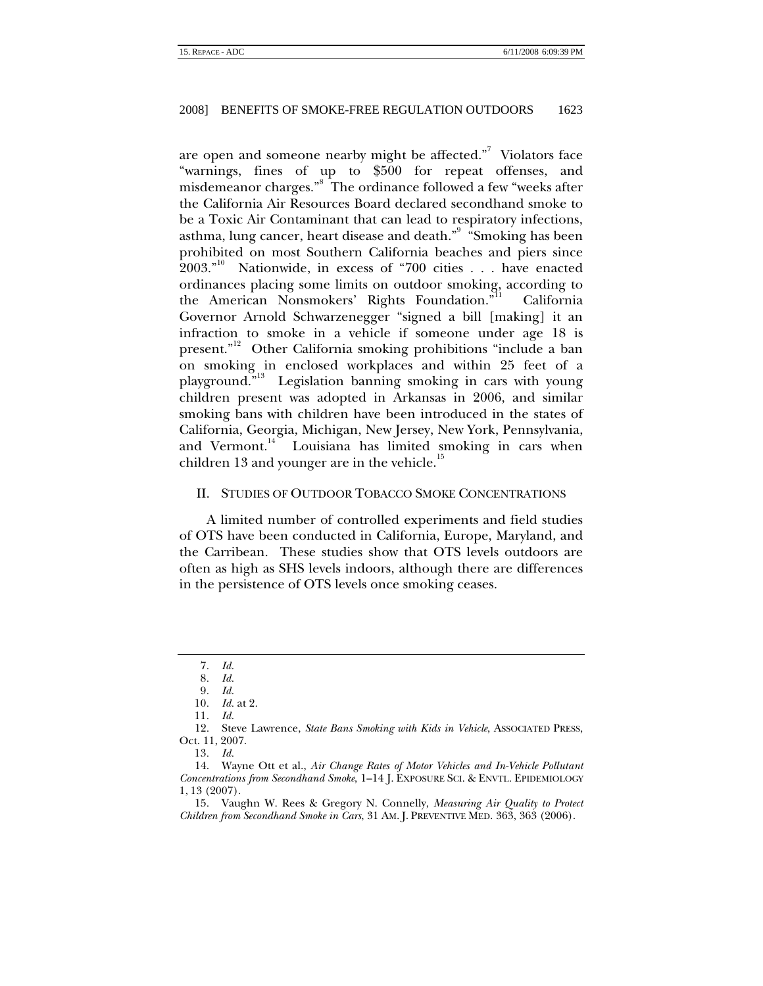<span id="page-2-0"></span>are open and someone nearby might be affected."<sup>7</sup> Violators face "warnings, fines of up to \$500 for repeat offenses, and misdemeanor charges."<sup>8</sup> The ordinance followed a few "weeks after the California Air Resources Board declared secondhand smoke to be a Toxic Air Contaminant that can lead to respiratory infections, asthma, lung cancer, heart disease and death." $^{\circ}$  "Smoking has been prohibited on most Southern California beaches and piers since  $2003.^{10}$  Nationwide, in excess of "700 cities . . . have enacted ordinances placing some limits on outdoor smoking, according to the American Nonsmokers' Rights Foundation."<sup>11</sup> California Governor Arnold Schwarzenegger "signed a bill [making] it an infraction to smoke in a vehicle if someone under age 18 is present."<sup>12</sup> Other California smoking prohibitions "include a ban on smoking in enclosed workplaces and within 25 feet of a playground."[13](#page-2-7) Legislation banning smoking in cars with young children present was adopted in Arkansas in 2006, and similar smoking bans with children have been introduced in the states of California, Georgia, Michigan, New Jersey, New York, Pennsylvania, and Vermont.<sup>14</sup> Louisiana has limited smoking in cars when children 13 and younger are in the vehicle. $15$ 

## II. STUDIES OF OUTDOOR TOBACCO SMOKE CONCENTRATIONS

A limited number of controlled experiments and field studies of OTS have been conducted in California, Europe, Maryland, and the Carribean. These studies show that OTS levels outdoors are often as high as SHS levels indoors, although there are differences in the persistence of OTS levels once smoking ceases.

<span id="page-2-1"></span><sup>7</sup>*. Id.*

<span id="page-2-2"></span><sup>8</sup>*. Id.*

<span id="page-2-3"></span><sup>9</sup>*. Id.*

<span id="page-2-4"></span><sup>10</sup>*. Id.* at 2.

<span id="page-2-6"></span><span id="page-2-5"></span><sup>11</sup>*. Id.*

<sup>12.</sup> Steve Lawrence, *State Bans Smoking with Kids in Vehicle*, ASSOCIATED PRESS, Oct. 11, 2007.

<span id="page-2-8"></span><span id="page-2-7"></span><sup>13</sup>*. Id.*

<sup>14.</sup> Wayne Ott et al., *Air Change Rates of Motor Vehicles and In-Vehicle Pollutant Concentrations from Secondhand Smoke*, 1–14 J. EXPOSURE SCI. & ENVTL. EPIDEMIOLOGY 1, 13 (2007).

<span id="page-2-9"></span><sup>15.</sup> Vaughn W. Rees & Gregory N. Connelly, *Measuring Air Quality to Protect Children from Secondhand Smoke in Cars*, 31 AM. J. PREVENTIVE MED. 363, 363 (2006).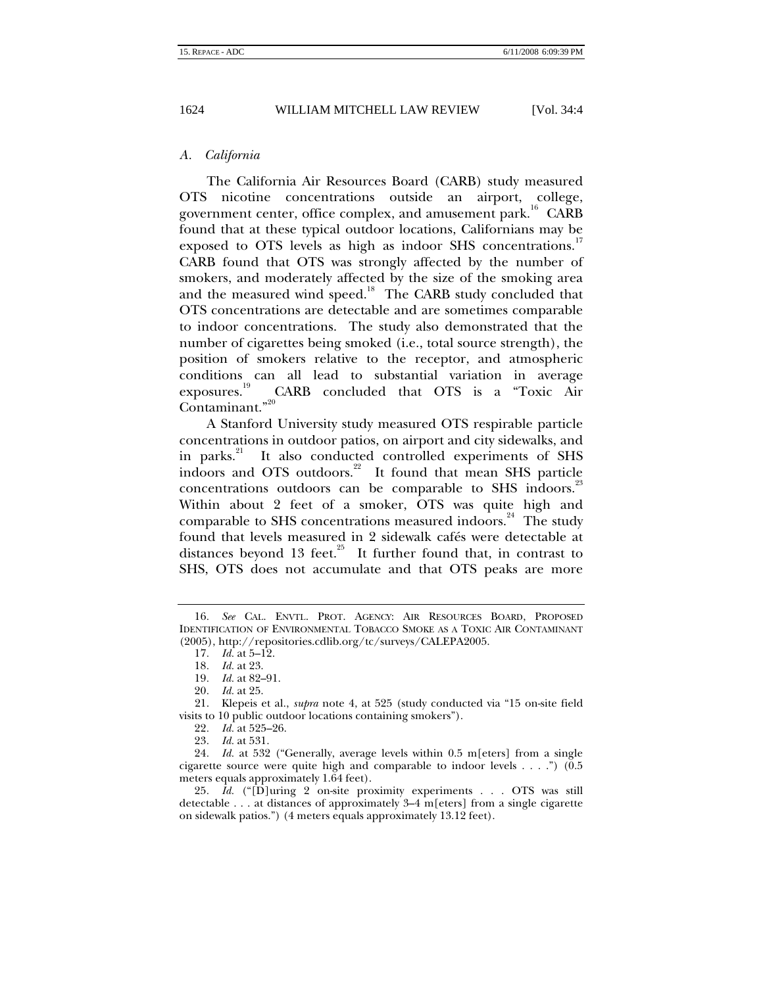<span id="page-3-0"></span>

## *A. California*

The California Air Resources Board (CARB) study measured OTS nicotine concentrations outside an airport, college, government center, office complex, and amusement park.<sup>16</sup> CARB found that at these typical outdoor locations, Californians may be exposed to OTS levels as high as indoor SHS concentrations.<sup>1</sup> CARB found that OTS was strongly affected by the number of smokers, and moderately affected by the size of the smoking area and the measured wind speed.<sup>18</sup> The CARB study concluded that OTS concentrations are detectable and are sometimes comparable to indoor concentrations. The study also demonstrated that the number of cigarettes being smoked (i.e., total source strength), the position of smokers relative to the receptor, and atmospheric conditions can all lead to substantial variation in average exposures.<sup>19</sup> CARB concluded that OTS is a "Toxic Air CARB concluded that OTS is a "Toxic Air Contaminant."<sup>[20](#page-3-5)</sup>

A Stanford University study measured OTS respirable particle concentrations in outdoor patios, on airport and city sidewalks, and in parks.<sup>21</sup> It also conducted controlled experiments of SHS indoors and OTS outdoors.<sup>22</sup> It found that mean SHS particle concentrations outdoors can be comparable to SHS indoors.<sup>23</sup> Within about 2 feet of a smoker, OTS was quite high and comparable to SHS concentrations measured indoors.<sup>24</sup> The study found that levels measured in 2 sidewalk cafés were detectable at distances beyond 13 feet. $^{25}$  It further found that, in contrast to SHS, OTS does not accumulate and that OTS peaks are more

<span id="page-3-1"></span><sup>16</sup>*. See* CAL. ENVTL. PROT. AGENCY: AIR RESOURCES BOARD, PROPOSED IDENTIFICATION OF ENVIRONMENTAL TOBACCO SMOKE AS A TOXIC AIR CONTAMINANT (2005), http://repositories.cdlib.org/tc/surveys/CALEPA2005.

<span id="page-3-2"></span><sup>17</sup>*. Id.* at 5–12.

<span id="page-3-3"></span><sup>18</sup>*. Id.* at 23.

<span id="page-3-4"></span><sup>19</sup>*. Id.* at 82–91.

<span id="page-3-6"></span><span id="page-3-5"></span><sup>20</sup>*. Id.* at 25.

<sup>21.</sup> Klepeis et al., *supra* note 4, at 525 (study conducted via "15 on-site field visits to 10 public outdoor locations containing smokers").

<span id="page-3-7"></span><sup>22</sup>*. Id.* at 525–26.

<span id="page-3-9"></span><span id="page-3-8"></span><sup>23</sup>*. Id.* at 531.

<sup>24</sup>*. Id.* at 532 ("Generally, average levels within 0.5 m[eters] from a single cigarette source were quite high and comparable to indoor levels . . . .") (0.5 meters equals approximately 1.64 feet).

<span id="page-3-10"></span><sup>25</sup>*. Id.* ("[D]uring 2 on-site proximity experiments . . . OTS was still detectable . . . at distances of approximately 3–4 m[eters] from a single cigarette on sidewalk patios.") (4 meters equals approximately 13.12 feet).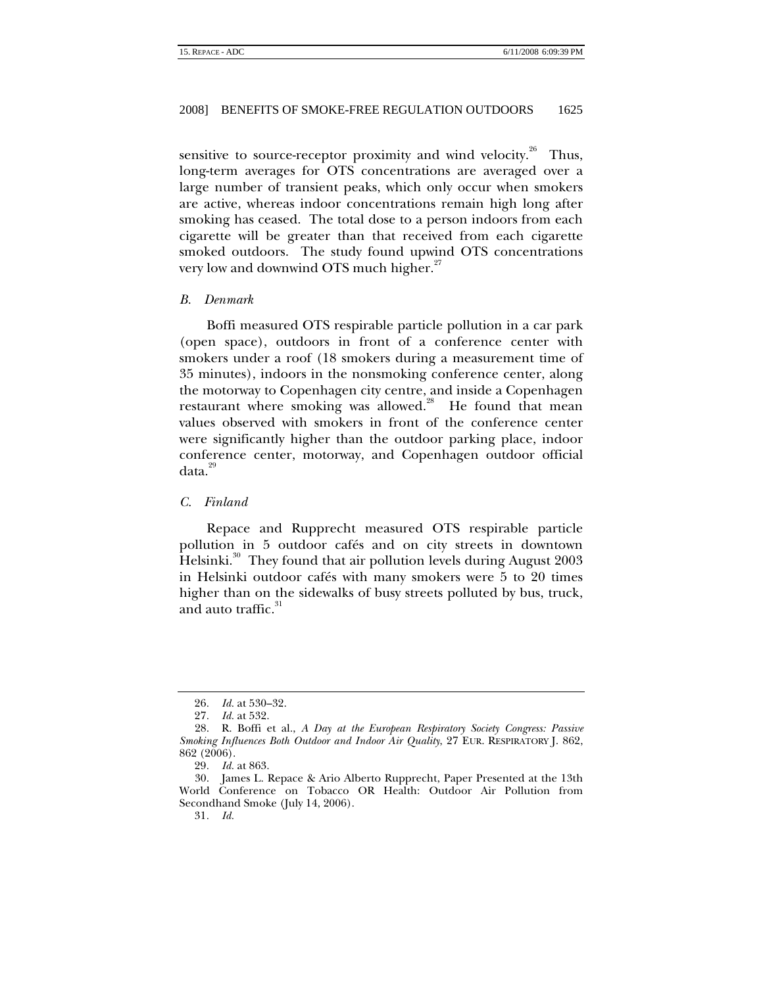<span id="page-4-0"></span>sensitive to source-receptor proximity and wind velocity.<sup>26</sup> Thus, long-term averages for OTS concentrations are averaged over a large number of transient peaks, which only occur when smokers are active, whereas indoor concentrations remain high long after smoking has ceased. The total dose to a person indoors from each cigarette will be greater than that received from each cigarette smoked outdoors. The study found upwind OTS concentrations very low and downwind OTS much higher.<sup>[27](#page-4-2)</sup>

#### *B. Denmark*

Boffi measured OTS respirable particle pollution in a car park (open space), outdoors in front of a conference center with smokers under a roof (18 smokers during a measurement time of 35 minutes), indoors in the nonsmoking conference center, along the motorway to Copenhagen city centre, and inside a Copenhagen restaurant where smoking was allowed.<sup>28</sup> He found that mean values observed with smokers in front of the conference center were significantly higher than the outdoor parking place, indoor conference center, motorway, and Copenhagen outdoor official data.<sup>[29](#page-4-4)</sup>

## *C. Finland*

Repace and Rupprecht measured OTS respirable particle pollution in 5 outdoor cafés and on city streets in downtown Helsinki.<sup>30</sup> They found that air pollution levels during August 2003 in Helsinki outdoor cafés with many smokers were 5 to 20 times higher than on the sidewalks of busy streets polluted by bus, truck, and auto traffic.<sup>[31](#page-4-6)</sup>

<span id="page-4-1"></span><sup>26</sup>*. Id.* at 530–32.

<span id="page-4-3"></span><span id="page-4-2"></span><sup>27</sup>*. Id.* at 532.

<sup>28.</sup> R. Boffi et al., *A Day at the European Respiratory Society Congress: Passive Smoking Influences Both Outdoor and Indoor Air Quality*, 27 EUR. RESPIRATORY J. 862, 862 (2006).

<span id="page-4-5"></span><span id="page-4-4"></span><sup>29</sup>*. Id.* at 863.

<sup>30.</sup> James L. Repace & Ario Alberto Rupprecht, Paper Presented at the 13th World Conference on Tobacco OR Health: Outdoor Air Pollution from Secondhand Smoke (July 14, 2006).

<span id="page-4-6"></span><sup>31</sup>*. Id.*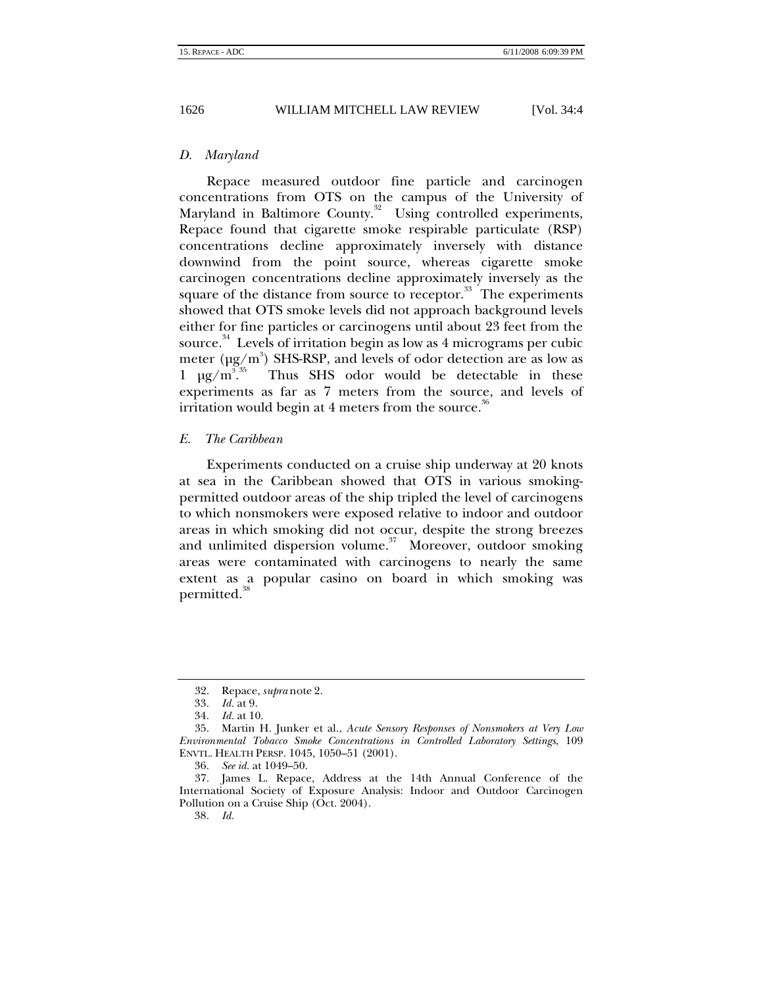<span id="page-5-0"></span>

## *D. Maryland*

Repace measured outdoor fine particle and carcinogen concentrations from OTS on the campus of the University of Maryland in Baltimore County.<sup>32</sup> Using controlled experiments, Repace found that cigarette smoke respirable particulate (RSP) concentrations decline approximately inversely with distance downwind from the point source, whereas cigarette smoke carcinogen concentrations decline approximately inversely as the square of the distance from source to receptor.<sup>33</sup> The experiments showed that OTS smoke levels did not approach background levels either for fine particles or carcinogens until about 23 feet from the source. $34$  Levels of irritation begin as low as 4 micrograms per cubic meter  $(\mu g/m^3)$  SHS-RSP, and levels of odor detection are as low as  $1 \mu g/m^3$ . Thus SHS odor would be detectable in these experiments as far as 7 meters from the source, and levels of irritation would begin at 4 meters from the source. $\alpha$ 

#### *E. The Caribbean*

Experiments conducted on a cruise ship underway at 20 knots at sea in the Caribbean showed that OTS in various smokingpermitted outdoor areas of the ship tripled the level of carcinogens to which nonsmokers were exposed relative to indoor and outdoor areas in which smoking did not occur, despite the strong breezes and unlimited dispersion volume.<sup>37</sup> Moreover, outdoor smoking areas were contaminated with carcinogens to nearly the same extent as a popular casino on board in which smoking was permitted.<sup>[38](#page-5-7)</sup>

<span id="page-5-1"></span><sup>32.</sup> Repace, *supra* note 2.

<span id="page-5-2"></span><sup>33</sup>*. Id.* at 9.

<span id="page-5-4"></span><span id="page-5-3"></span><sup>34</sup>*. Id.* at 10.

<sup>35.</sup> Martin H. Junker et al., *Acute Sensory Responses of Nonsmokers at Very Low Environmental Tobacco Smoke Concentrations in Controlled Laboratory Settings*, 109 ENVTL. HEALTH PERSP. 1045, 1050–51 (2001).

<span id="page-5-6"></span><span id="page-5-5"></span><sup>36</sup>*. See id.* at 1049–50.

<sup>37.</sup> James L. Repace, Address at the 14th Annual Conference of the International Society of Exposure Analysis: Indoor and Outdoor Carcinogen Pollution on a Cruise Ship (Oct. 2004).

<span id="page-5-7"></span><sup>38</sup>*. Id.*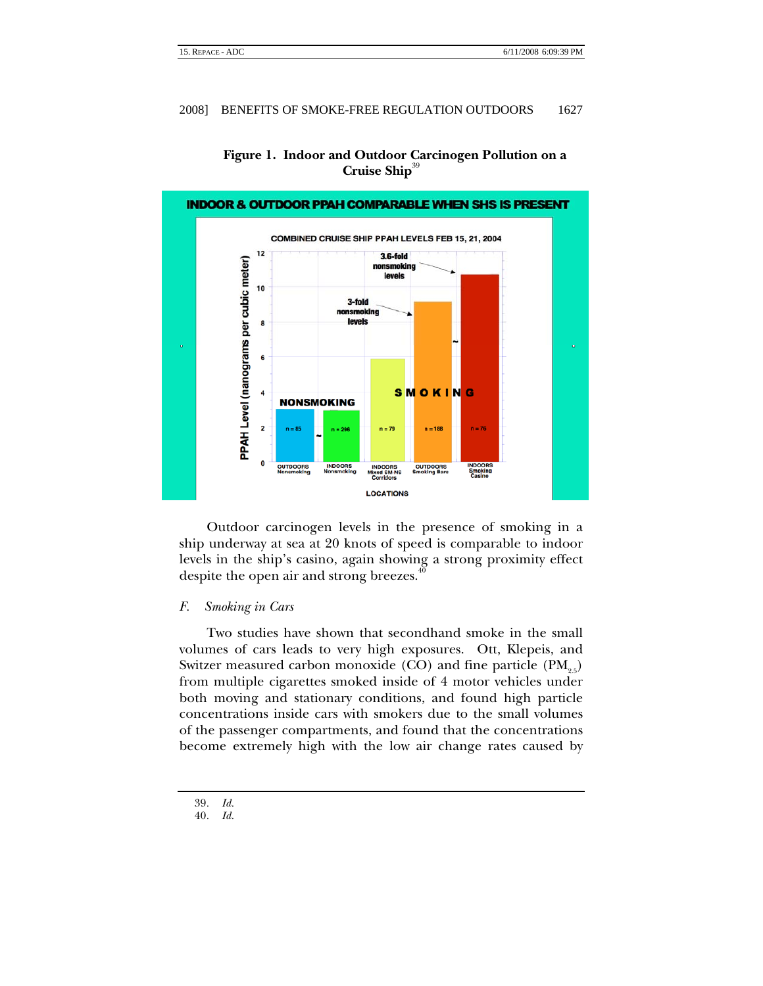<span id="page-6-0"></span>

# **Figure 1. Indoor and Outdoor Carcinogen Pollution on a Cruise Ship**<sup>[39](#page-6-1)</sup>

Outdoor carcinogen levels in the presence of smoking in a ship underway at sea at 20 knots of speed is comparable to indoor levels in the ship's casino, again showing a strong proximity effect despite the open air and strong breezes.<sup>4</sup>

#### *F. Smoking in Cars*

Two studies have shown that secondhand smoke in the small volumes of cars leads to very high exposures. Ott, Klepeis, and Switzer measured carbon monoxide (CO) and fine particle  $(PM_{\text{S}})$ from multiple cigarettes smoked inside of 4 motor vehicles under both moving and stationary conditions, and found high particle concentrations inside cars with smokers due to the small volumes of the passenger compartments, and found that the concentrations become extremely high with the low air change rates caused by

<span id="page-6-1"></span><sup>39</sup>*. Id.*

<span id="page-6-2"></span><sup>40</sup>*. Id.*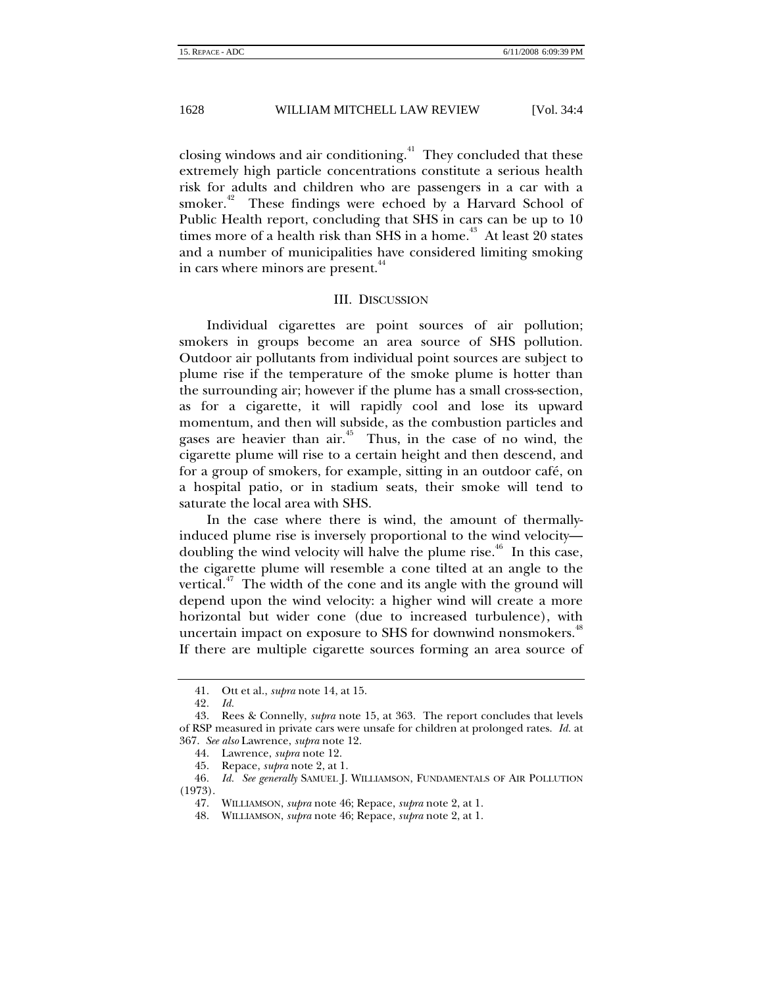<span id="page-7-0"></span>closing windows and air conditioning.<sup>41</sup> They concluded that these extremely high particle concentrations constitute a serious health risk for adults and children who are passengers in a car with a smoker.<sup>42</sup> These findings were echoed by a Harvard School of Public Health report, concluding that SHS in cars can be up to 10 times more of a health risk than SHS in a home.<sup> $43$ </sup> At least 20 states and a number of municipalities have considered limiting smoking in cars where minors are present.<sup>[44](#page-7-4)</sup>

#### III. DISCUSSION

Individual cigarettes are point sources of air pollution; smokers in groups become an area source of SHS pollution. Outdoor air pollutants from individual point sources are subject to plume rise if the temperature of the smoke plume is hotter than the surrounding air; however if the plume has a small cross-section, as for a cigarette, it will rapidly cool and lose its upward momentum, and then will subside, as the combustion particles and gases are heavier than air.<sup>45</sup> Thus, in the case of no wind, the cigarette plume will rise to a certain height and then descend, and for a group of smokers, for example, sitting in an outdoor café, on a hospital patio, or in stadium seats, their smoke will tend to saturate the local area with SHS.

In the case where there is wind, the amount of thermallyinduced plume rise is inversely proportional to the wind velocity doubling the wind velocity will halve the plume rise.<sup> $46$ </sup> In this case, the cigarette plume will resemble a cone tilted at an angle to the vertical.<sup> $47$ </sup> The width of the cone and its angle with the ground will depend upon the wind velocity: a higher wind will create a more horizontal but wider cone (due to increased turbulence), with uncertain impact on exposure to SHS for downwind nonsmokers. $^{48}$  $^{48}$  $^{48}$ If there are multiple cigarette sources forming an area source of

<span id="page-7-1"></span><sup>41.</sup> Ott et al., *supra* note 14, at 15.

<span id="page-7-3"></span><span id="page-7-2"></span><sup>42</sup>*. Id.*

<sup>43.</sup> Rees & Connelly, *supra* note 15, at 363. The report concludes that levels of RSP measured in private cars were unsafe for children at prolonged rates. *Id.* at 367. *See also* Lawrence, *supra* note 12.

<span id="page-7-4"></span><sup>44.</sup> Lawrence, *supra* note 12.

<span id="page-7-6"></span><span id="page-7-5"></span><sup>45.</sup> Repace, *supra* note 2, at 1.

<sup>46</sup>*. Id. See generally* SAMUEL J. WILLIAMSON, FUNDAMENTALS OF AIR POLLUTION (1973).

<span id="page-7-7"></span><sup>47.</sup> WILLIAMSON, *supra* note 46; Repace, *supra* note 2, at 1.

<span id="page-7-8"></span><sup>48.</sup> WILLIAMSON, *supra* note 46; Repace, *supra* note 2, at 1.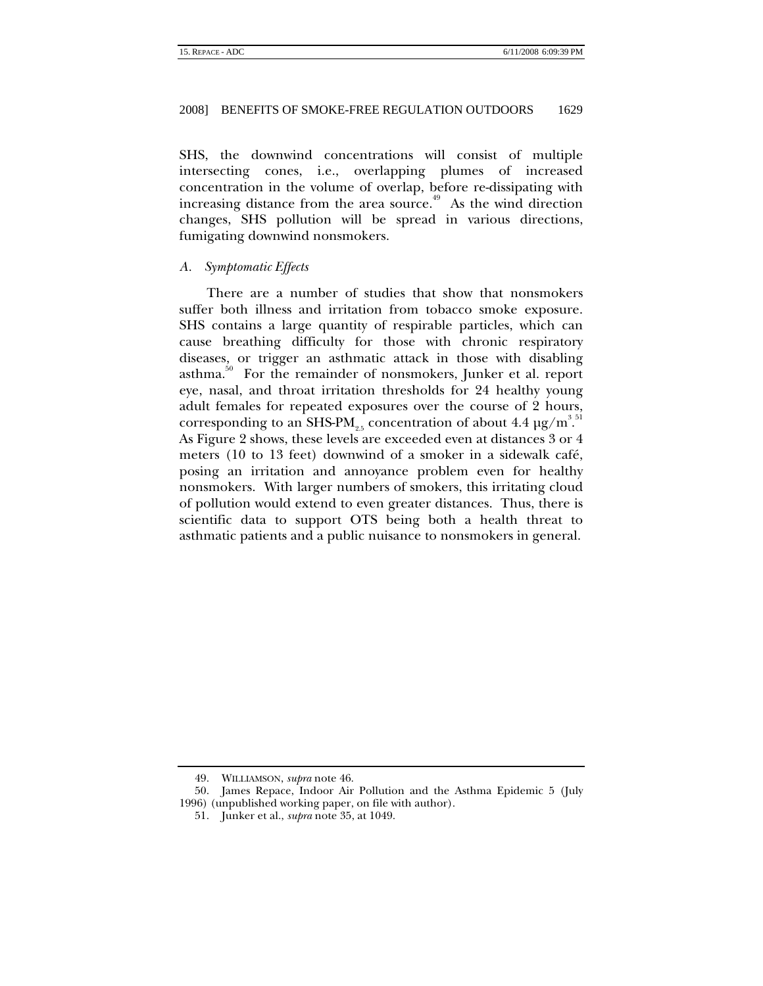<span id="page-8-0"></span>SHS, the downwind concentrations will consist of multiple intersecting cones, i.e., overlapping plumes of increased concentration in the volume of overlap, before re-dissipating with increasing distance from the area source.<sup>49</sup> As the wind direction changes, SHS pollution will be spread in various directions, fumigating downwind nonsmokers.

# *A. Symptomatic Effects*

There are a number of studies that show that nonsmokers suffer both illness and irritation from tobacco smoke exposure. SHS contains a large quantity of respirable particles, which can cause breathing difficulty for those with chronic respiratory diseases, or trigger an asthmatic attack in those with disabling asthma.<sup>50</sup> For the remainder of nonsmokers, Junker et al. report eye, nasal, and throat irritation thresholds for 24 healthy young adult females for repeated exposures over the course of 2 hours, corresponding to an SHS-PM<sub>2.5</sub> concentration of about 4.4  $\mu$ g/m<sup>3.[51](#page-8-3)</sup> As Figure 2 shows, these levels are exceeded even at distances 3 or 4 meters (10 to 13 feet) downwind of a smoker in a sidewalk café, posing an irritation and annoyance problem even for healthy nonsmokers. With larger numbers of smokers, this irritating cloud of pollution would extend to even greater distances. Thus, there is scientific data to support OTS being both a health threat to asthmatic patients and a public nuisance to nonsmokers in general.

<span id="page-8-2"></span><span id="page-8-1"></span><sup>49.</sup> WILLIAMSON, *supra* note 46.

<sup>50.</sup> James Repace, Indoor Air Pollution and the Asthma Epidemic 5 (July 1996) (unpublished working paper, on file with author).

<span id="page-8-3"></span><sup>51.</sup> Junker et al., *supra* note 35, at 1049.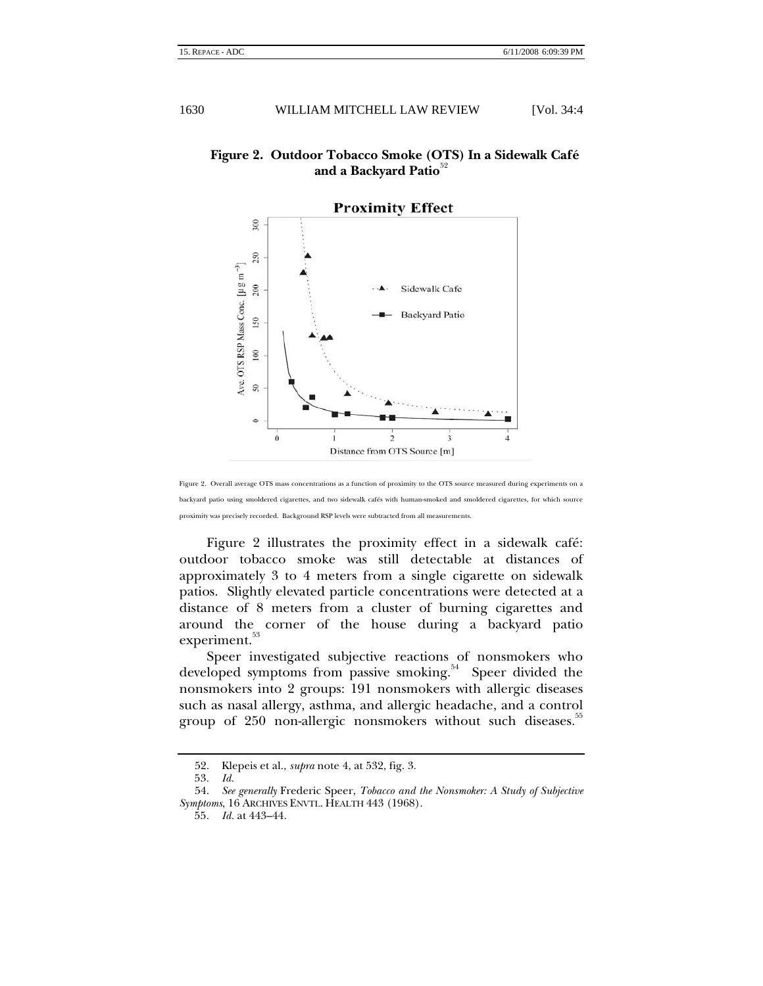# **Figure 2. Outdoor Tobacco Smoke (OTS) In a Sidewalk Café** and a Backyard Patio<sup>[52](#page-9-0)</sup>



**Proximity Effect** 

Figure 2 illustrates the proximity effect in a sidewalk café: outdoor tobacco smoke was still detectable at distances of approximately 3 to 4 meters from a single cigarette on sidewalk patios. Slightly elevated particle concentrations were detected at a distance of 8 meters from a cluster of burning cigarettes and around the corner of the house during a backyard patio experiment.<sup>[53](#page-9-1)</sup>

Speer investigated subjective reactions of nonsmokers who developed symptoms from passive smoking.<sup>54</sup> Speer divided the nonsmokers into 2 groups: 191 nonsmokers with allergic diseases such as nasal allergy, asthma, and allergic headache, and a control group of 250 non-allergic nonsmokers without such diseases.<sup>35</sup>

Figure 2. Overall average OTS mass concentrations as a function of proximity to the OTS source measured during experiments on a backyard patio using smoldered cigarettes, and two sidewalk cafés with human-smoked and smoldered cigarettes, for which source proximity was precisely recorded. Background RSP levels were subtracted from all measurements.

<span id="page-9-0"></span><sup>52.</sup> Klepeis et al., *supra* note 4, at 532, fig. 3.

<span id="page-9-2"></span><span id="page-9-1"></span><sup>53</sup>*. Id.*

<sup>54.</sup> *See generally* Frederic Speer, *Tobacco and the Nonsmoker: A Study of Subjective Symptoms*, 16 ARCHIVES ENVTL. HEALTH 443 (1968).

<span id="page-9-3"></span><sup>55</sup>*. Id.* at 443–44.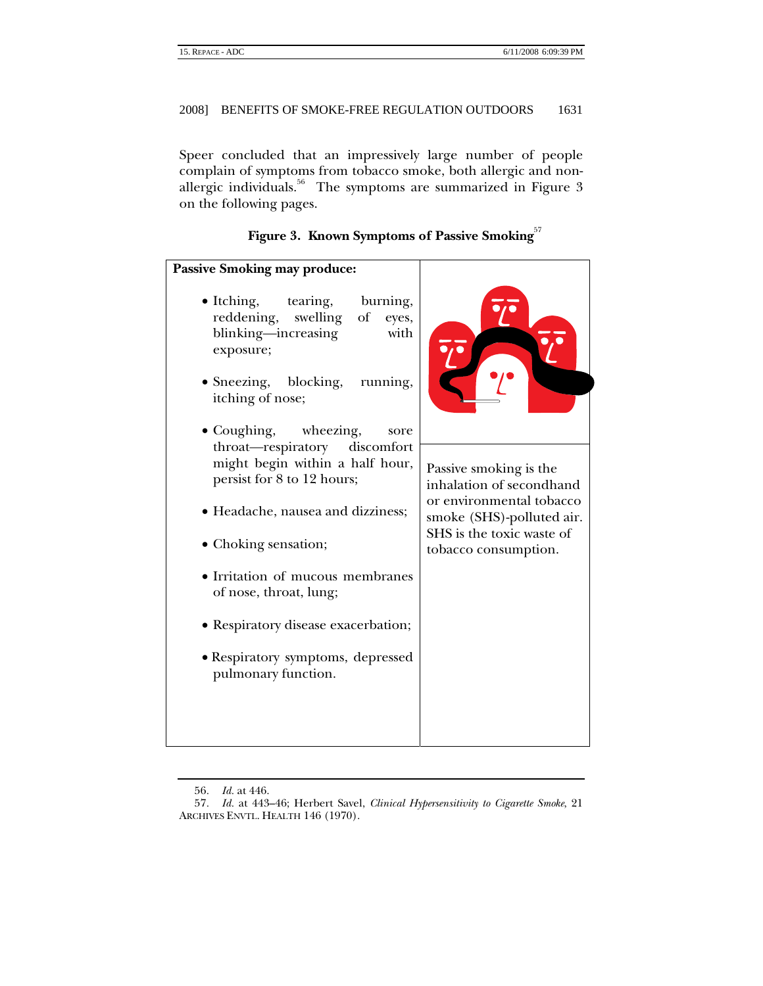Speer concluded that an impressively large number of people complain of symptoms from tobacco smoke, both allergic and nonallergic individuals.<sup>56</sup> The symptoms are summarized in Figure 3 on the following pages.

| <b>Passive Smoking may produce:</b>                                                                                                |                                                                                                             |  |  |
|------------------------------------------------------------------------------------------------------------------------------------|-------------------------------------------------------------------------------------------------------------|--|--|
| • Itching, tearing,<br>burning,<br>reddening,<br>swelling<br>$\sigma f$<br>eyes,<br>blinking-increasing<br>with<br>exposure;       |                                                                                                             |  |  |
| $\bullet$ Sneezing, blocking,<br>running,<br>itching of nose;                                                                      |                                                                                                             |  |  |
| • Coughing, wheezing,<br>sore<br>throat—respiratory<br>discomfort<br>might begin within a half hour,<br>persist for 8 to 12 hours; | Passive smoking is the<br>inhalation of secondhand<br>or environmental tobacco<br>smoke (SHS)-polluted air. |  |  |
| • Headache, nausea and dizziness;                                                                                                  |                                                                                                             |  |  |
| • Choking sensation;                                                                                                               | SHS is the toxic waste of<br>tobacco consumption.                                                           |  |  |
| • Irritation of mucous membranes<br>of nose, throat, lung;                                                                         |                                                                                                             |  |  |
| • Respiratory disease exacerbation;                                                                                                |                                                                                                             |  |  |
| • Respiratory symptoms, depressed<br>pulmonary function.                                                                           |                                                                                                             |  |  |
|                                                                                                                                    |                                                                                                             |  |  |

|  | Figure 3. Known Symptoms of Passive Smoking $^{57}$ |  |
|--|-----------------------------------------------------|--|
|  |                                                     |  |

<span id="page-10-1"></span><span id="page-10-0"></span><sup>56</sup>*. Id.* at 446.

<sup>57</sup>*. Id.* at 443–46; Herbert Savel, *Clinical Hypersensitivity to Cigarette Smoke*, 21 ARCHIVES ENVTL. HEALTH 146 (1970).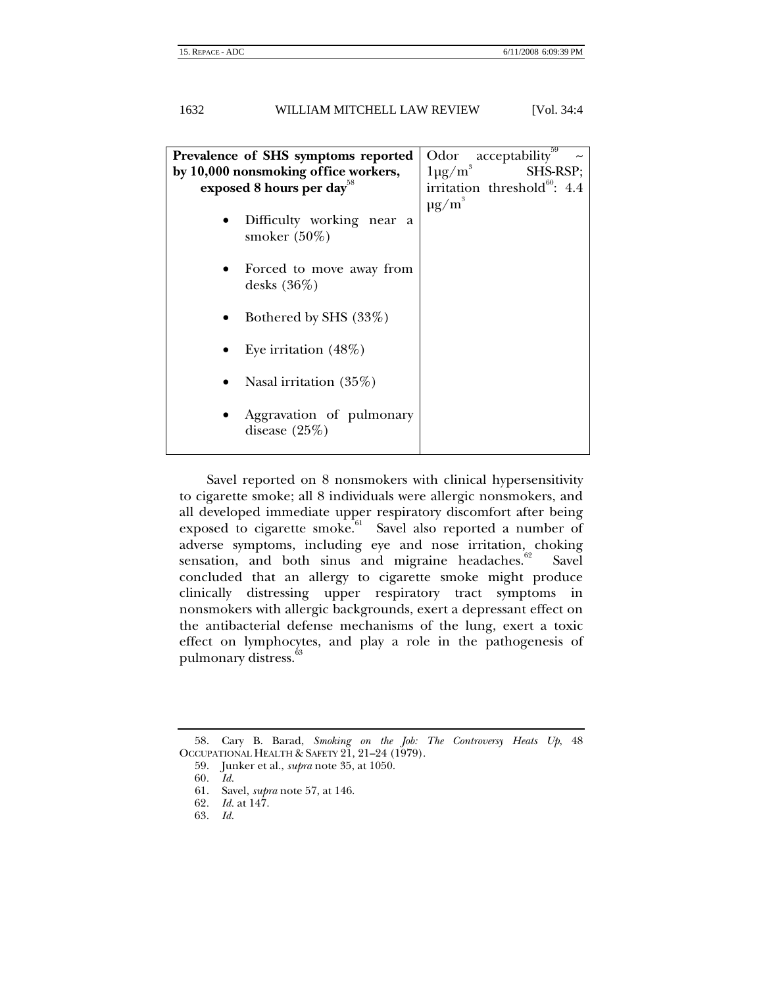| Prevalence of SHS symptoms reported          | acceptability <sup>3</sup><br>Odor       |
|----------------------------------------------|------------------------------------------|
| by 10,000 nonsmoking office workers,         | $1\mu g/m^3$<br><b>SHS-RSP:</b>          |
| exposed 8 hours per day <sup>58</sup>        | irritation threshold <sup>60</sup> : 4.4 |
|                                              | $\mu$ g/m <sup>3</sup>                   |
| Difficulty working near a<br>smoker $(50\%)$ |                                          |
|                                              |                                          |
| Forced to move away from                     |                                          |
| desks $(36\%)$                               |                                          |
| Bothered by SHS (33%)                        |                                          |
|                                              |                                          |
| Eye irritation $(48\%)$                      |                                          |
| Nasal irritation $(35%)$                     |                                          |
| Aggravation of pulmonary<br>disease $(25%)$  |                                          |
|                                              |                                          |

Savel reported on 8 nonsmokers with clinical hypersensitivity to cigarette smoke; all 8 individuals were allergic nonsmokers, and all developed immediate upper respiratory discomfort after being exposed to cigarette smoke.<sup>4</sup><sup>61</sup> Savel also reported a number of adverse symptoms, including eye and nose irritation, choking sensation, and both sinus and migraine headaches. $62$  Savel concluded that an allergy to cigarette smoke might produce clinically distressing upper respiratory tract symptoms in nonsmokers with allergic backgrounds, exert a depressant effect on the antibacterial defense mechanisms of the lung, exert a toxic effect on lymphocytes, and play a role in the pathogenesis of pulmonary distress.<sup>[63](#page-11-5)</sup>

<span id="page-11-0"></span><sup>58.</sup> Cary B. Barad, *Smoking on the Job: The Controversy Heats Up*, 48 OCCUPATIONAL HEALTH & SAFETY 21, 21–24 (1979).

<span id="page-11-1"></span><sup>59.</sup> Junker et al., *supra* note 35, at 1050.

<span id="page-11-2"></span><sup>60</sup>*. Id.*

<span id="page-11-3"></span><sup>61.</sup> Savel, *supra* note 57, at 146.

<span id="page-11-4"></span><sup>62</sup>*. Id.* at 147.

<span id="page-11-5"></span><sup>63</sup>*. Id.*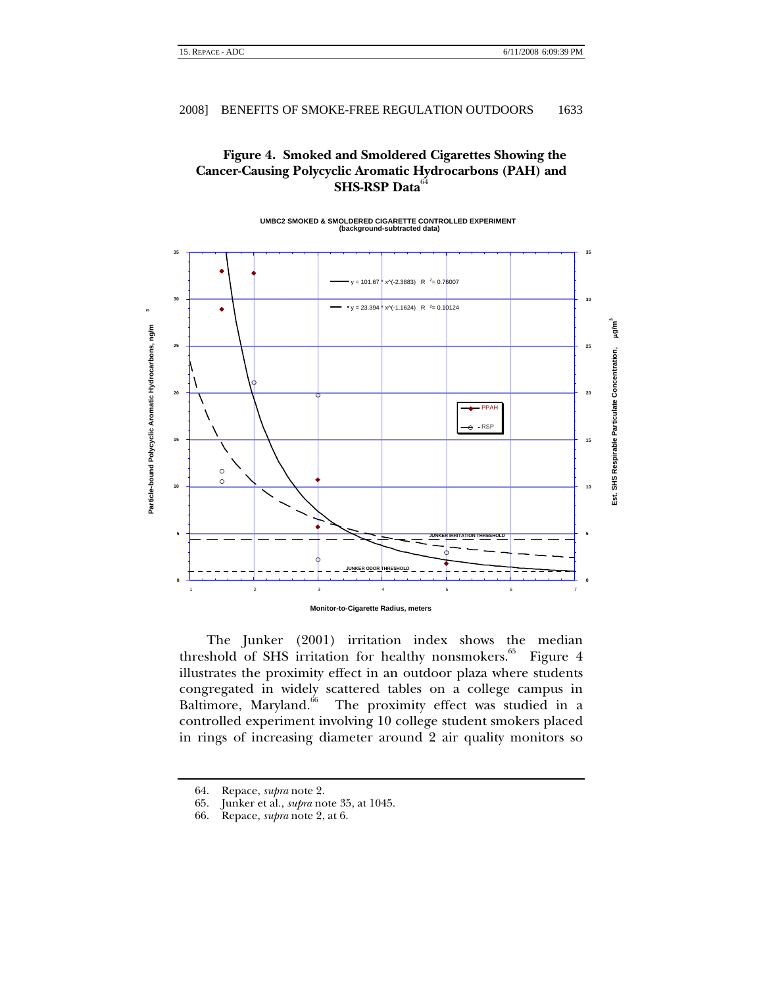# **Figure 4. Smoked and Smoldered Cigarettes Showing the Cancer-Causing Polycyclic Aromatic Hydrocarbons (PAH) and SHS-RSP Data**<sup>6</sup>

#### **UMBC2 SMOKED & SMOLDERED CIGARETTE CONTROLLED EXPERIMENT (background-subtracted data) 35 35**  $y = 101.67$  \* x^(-2.3883) R  $^{2} = 0.76007$ **30 30**  $y = 23.394 \frac{1}{3} x^{6} (-1.1624)$  R  $^{2} = 0.10124$  $\ddot{\phantom{0}}$ **Particle-bound Polycyclic Aromatic Hydrocarbons, ng/m 3** ing/m<sup>3</sup> **Est. SHS Respirable Particulate Concentration,** µ**g/m3** Particle-bound Polycyclic Aromatic Hydrocarbons, ng/m **25 25** Est. SHS Respirable Particulate Concentration, **20 20**  $-$  PPAH RSP **15 15**  $\circ$  $\circ$ **10 10 5 JUNKER IRRITATION THRESHOLD 5 JUNKER ODOR THRESHOLD 0 0** 1 a contract to 2 a 3 a 3 a 4 a 5 contract to 5 a 5 contract to 5 a 5 contract to 7 a 5 contract to 7 a 5 contract to 7 a 5 contract to 7 a 5 contract to 7 a 5 contract to 7 a 5 contract to 7 a 5 contract to 7 a 5 contract **Monitor-to-Cigarette Radius, meters**

The Junker (2001) irritation index shows the median threshold of SHS irritation for healthy nonsmokers.<sup>65</sup> Figure 4 illustrates the proximity effect in an outdoor plaza where students congregated in widely scattered tables on a college campus in Baltimore, Maryland.<sup>66</sup> The proximity effect was studied in a The proximity effect was studied in a controlled experiment involving 10 college student smokers placed in rings of increasing diameter around 2 air quality monitors so

<span id="page-12-1"></span>65. Junker et al., *supra* note 35, at 1045.

<span id="page-12-0"></span><sup>64.</sup> Repace, *supra* note 2.

<span id="page-12-2"></span><sup>66.</sup> Repace, *supra* note 2, at 6.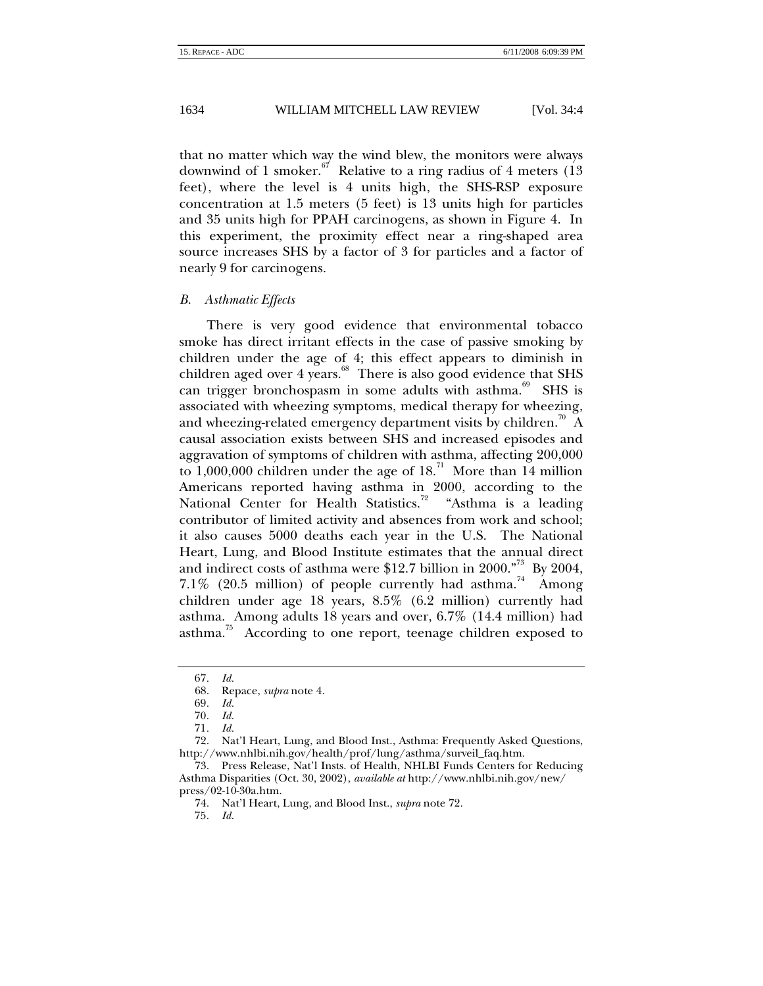<span id="page-13-0"></span>that no matter which way the wind blew, the monitors were always downwind of 1 smoker.  $\frac{67}{1}$  Relative to a ring radius of 4 meters (13) feet), where the level is 4 units high, the SHS-RSP exposure concentration at 1.5 meters (5 feet) is 13 units high for particles and 35 units high for PPAH carcinogens, as shown in Figure 4. In this experiment, the proximity effect near a ring-shaped area source increases SHS by a factor of 3 for particles and a factor of nearly 9 for carcinogens.

#### *B. Asthmatic Effects*

There is very good evidence that environmental tobacco smoke has direct irritant effects in the case of passive smoking by children under the age of 4; this effect appears to diminish in children aged over 4 years. $68$  There is also good evidence that SHS can trigger bronchospasm in some adults with asthma.<sup>69</sup> SHS is associated with wheezing symptoms, medical therapy for wheezing, and wheezing-related emergency department visits by children.<sup>70</sup> A causal association exists between SHS and increased episodes and aggravation of symptoms of children with asthma, affecting 200,000 to  $1,000,000$  children under the age of  $18<sup>71</sup>$  More than 14 million Americans reported having asthma in 2000, according to the National Center for Health Statistics.<sup>72</sup> "Asthma is a leading contributor of limited activity and absences from work and school; it also causes 5000 deaths each year in the U.S. The National Heart, Lung, and Blood Institute estimates that the annual direct and indirect costs of asthma were \$12.7 billion in 2000."<sup>73</sup> By 2004, 7.1% (20.5 million) of people currently had asthma.<sup>74</sup> Among children under age 18 years, 8.5% (6.2 million) currently had asthma. Among adults 18 years and over, 6.7% (14.4 million) had asthma.<sup>75</sup> According to one report, teenage children exposed to

72. Nat'l Heart, Lung, and Blood Inst., Asthma: Frequently Asked Questions, http://www.nhlbi.nih.gov/health/prof/lung/asthma/surveil\_faq.htm.

<span id="page-13-8"></span>74. Nat'l Heart, Lung, and Blood Inst., *supra* note 72.

<span id="page-13-1"></span><sup>67</sup>*. Id.*

<span id="page-13-2"></span><sup>68.</sup> Repace, *supra* note 4.

<span id="page-13-3"></span><sup>69</sup>*. Id.*

<span id="page-13-4"></span><sup>70</sup>*. Id.*

<span id="page-13-6"></span><span id="page-13-5"></span><sup>71</sup>*. Id.*

<span id="page-13-7"></span><sup>73.</sup> Press Release, Nat'l Insts. of Health, NHLBI Funds Centers for Reducing Asthma Disparities (Oct. 30, 2002), *available at* http://www.nhlbi.nih.gov/new/ press/02-10-30a.htm.

<span id="page-13-9"></span><sup>75</sup>*. Id.*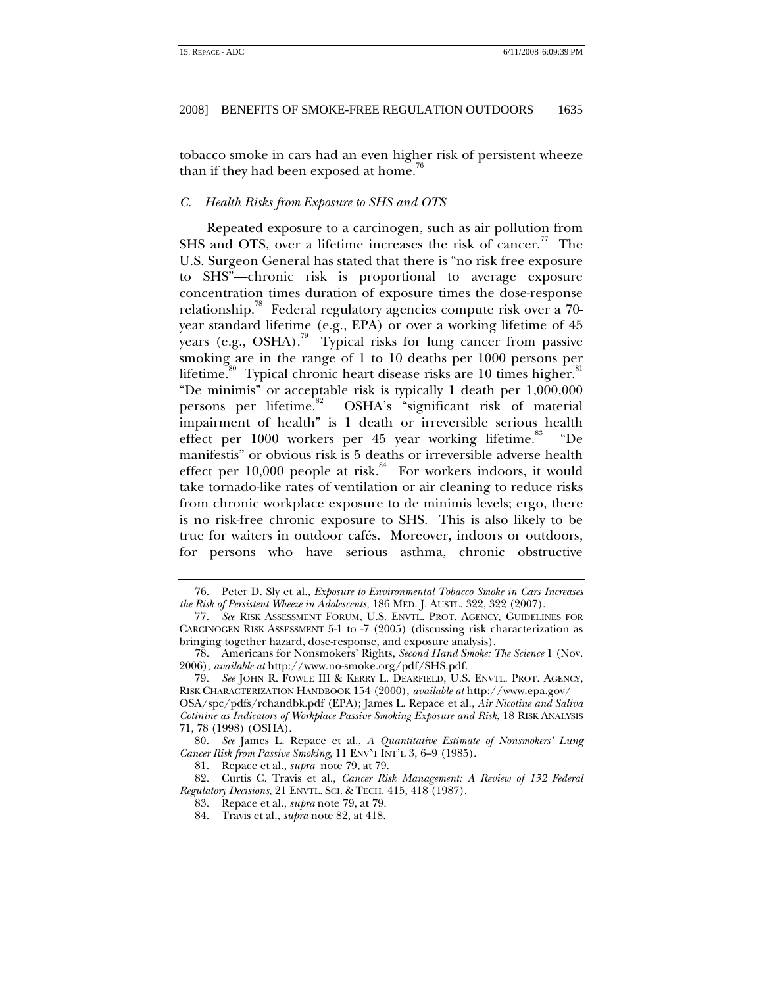<span id="page-14-0"></span>tobacco smoke in cars had an even higher risk of persistent wheeze than if they had been exposed at home.<sup>7</sup>

#### *C. Health Risks from Exposure to SHS and OTS*

Repeated exposure to a carcinogen, such as air pollution from SHS and OTS, over a lifetime increases the risk of cancer.<sup>14</sup> The U.S. Surgeon General has stated that there is "no risk free exposure to SHS"—chronic risk is proportional to average exposure concentration times duration of exposure times the dose-response relationship.[78](#page-14-3) Federal regulatory agencies compute risk over a 70 year standard lifetime (e.g., EPA) or over a working lifetime of 45 years (e.g., OSHA).<sup>79</sup> Typical risks for lung cancer from passive smoking are in the range of 1 to 10 deaths per 1000 persons per lifetime.<sup>80</sup> Typical chronic heart disease risks are 10 times higher.<sup>81</sup> "De minimis" or acceptable risk is typically 1 death per 1,000,000 persons per lifetime.<sup>82</sup> OSHA's "significant risk of material impairment of health" is 1 death or irreversible serious health effect per  $1000$  workers per  $45$  year working lifetime.<sup>83</sup> "De manifestis" or obvious risk is 5 deaths or irreversible adverse health effect per  $10,000$  people at risk.<sup>84</sup> For workers indoors, it would take tornado-like rates of ventilation or air cleaning to reduce risks from chronic workplace exposure to de minimis levels; ergo, there is no risk-free chronic exposure to SHS. This is also likely to be true for waiters in outdoor cafés. Moreover, indoors or outdoors, for persons who have serious asthma, chronic obstructive

<span id="page-14-1"></span><sup>76.</sup> Peter D. Sly et al., *Exposure to Environmental Tobacco Smoke in Cars Increases the Risk of Persistent Wheeze in Adolescents,* 186 MED. J. AUSTL. 322, 322 (2007).

<span id="page-14-2"></span><sup>77</sup>*. See* RISK ASSESSMENT FORUM, U.S. ENVTL. PROT. AGENCY, GUIDELINES FOR CARCINOGEN RISK ASSESSMENT 5-1 to -7 (2005) (discussing risk characterization as bringing together hazard, dose-response, and exposure analysis).

<span id="page-14-3"></span><sup>78.</sup> Americans for Nonsmokers' Rights, *Second Hand Smoke: The Science* 1 (Nov. 2006), *available at* http://www.no-smoke.org/pdf/SHS.pdf.

<span id="page-14-4"></span><sup>79</sup>*. See* JOHN R. FOWLE III & KERRY L. DEARFIELD, U.S. ENVTL. PROT. AGENCY, RISK CHARACTERIZATION HANDBOOK 154 (2000), *available at* http://www.epa.gov/ OSA/spc/pdfs/rchandbk.pdf (EPA); James L. Repace et al., *Air Nicotine and Saliva Cotinine as Indicators of Workplace Passive Smoking Exposure and Risk*, 18 RISK ANALYSIS 71, 78 (1998) (OSHA).

<span id="page-14-5"></span><sup>80</sup>*. See* James L. Repace et al., *A Quantitative Estimate of Nonsmokers' Lung Cancer Risk from Passive Smoking*, 11 ENV'T INT'L 3, 6–9 (1985).

<span id="page-14-7"></span><span id="page-14-6"></span><sup>81.</sup> Repace et al., *supra* note 79, at 79.

<sup>82.</sup> Curtis C. Travis et al., *Cancer Risk Management: A Review of 132 Federal Regulatory Decisions*, 21 ENVTL. SCI. & TECH. 415, 418 (1987).

<span id="page-14-8"></span><sup>83.</sup> Repace et al., *supra* note 79, at 79.

<span id="page-14-9"></span><sup>84.</sup> Travis et al., *supra* note 82, at 418.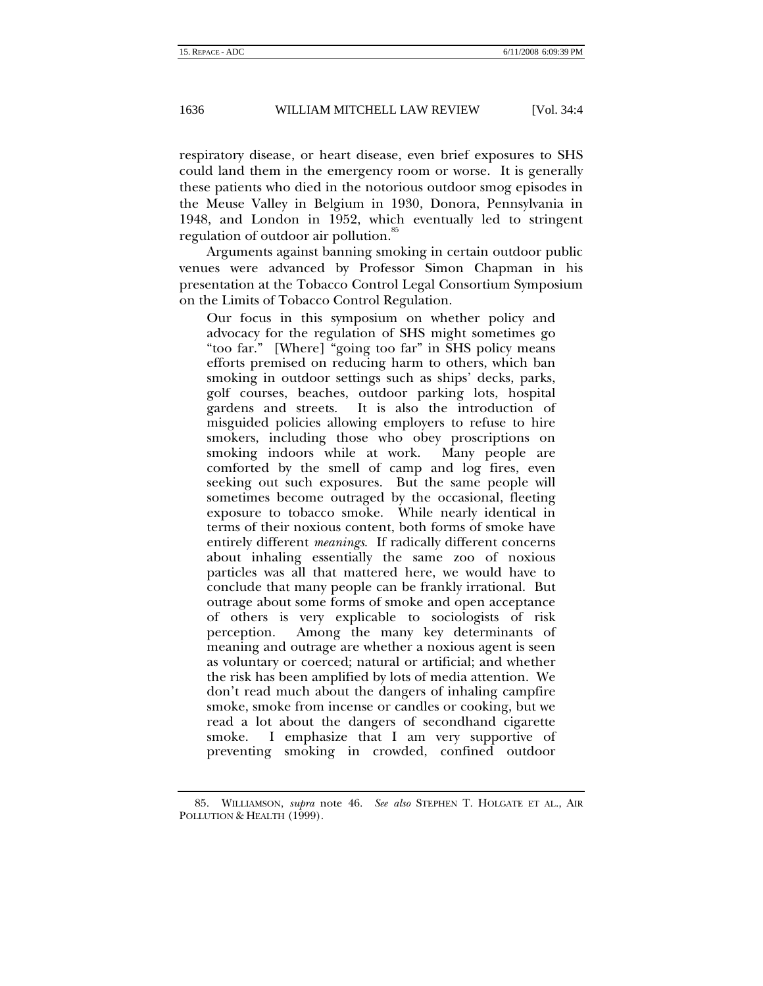respiratory disease, or heart disease, even brief exposures to SHS could land them in the emergency room or worse. It is generally these patients who died in the notorious outdoor smog episodes in the Meuse Valley in Belgium in 1930, Donora, Pennsylvania in 1948, and London in 1952, which eventually led to stringent regulation of outdoor air pollution.<sup>[85](#page-15-0)</sup>

Arguments against banning smoking in certain outdoor public venues were advanced by Professor Simon Chapman in his presentation at the Tobacco Control Legal Consortium Symposium on the Limits of Tobacco Control Regulation.

Our focus in this symposium on whether policy and advocacy for the regulation of SHS might sometimes go "too far." [Where] "going too far" in SHS policy means efforts premised on reducing harm to others, which ban smoking in outdoor settings such as ships' decks, parks, golf courses, beaches, outdoor parking lots, hospital gardens and streets. It is also the introduction of misguided policies allowing employers to refuse to hire smokers, including those who obey proscriptions on smoking indoors while at work. Many people are comforted by the smell of camp and log fires, even seeking out such exposures. But the same people will sometimes become outraged by the occasional, fleeting exposure to tobacco smoke. While nearly identical in terms of their noxious content, both forms of smoke have entirely different *meanings*. If radically different concerns about inhaling essentially the same zoo of noxious particles was all that mattered here, we would have to conclude that many people can be frankly irrational. But outrage about some forms of smoke and open acceptance of others is very explicable to sociologists of risk perception. Among the many key determinants of meaning and outrage are whether a noxious agent is seen as voluntary or coerced; natural or artificial; and whether the risk has been amplified by lots of media attention. We don't read much about the dangers of inhaling campfire smoke, smoke from incense or candles or cooking, but we read a lot about the dangers of secondhand cigarette smoke. I emphasize that I am very supportive of preventing smoking in crowded, confined outdoor

<span id="page-15-0"></span><sup>85.</sup> WILLIAMSON, *supra* note 46. *See also* STEPHEN T. HOLGATE ET AL., AIR POLLUTION & HEALTH (1999).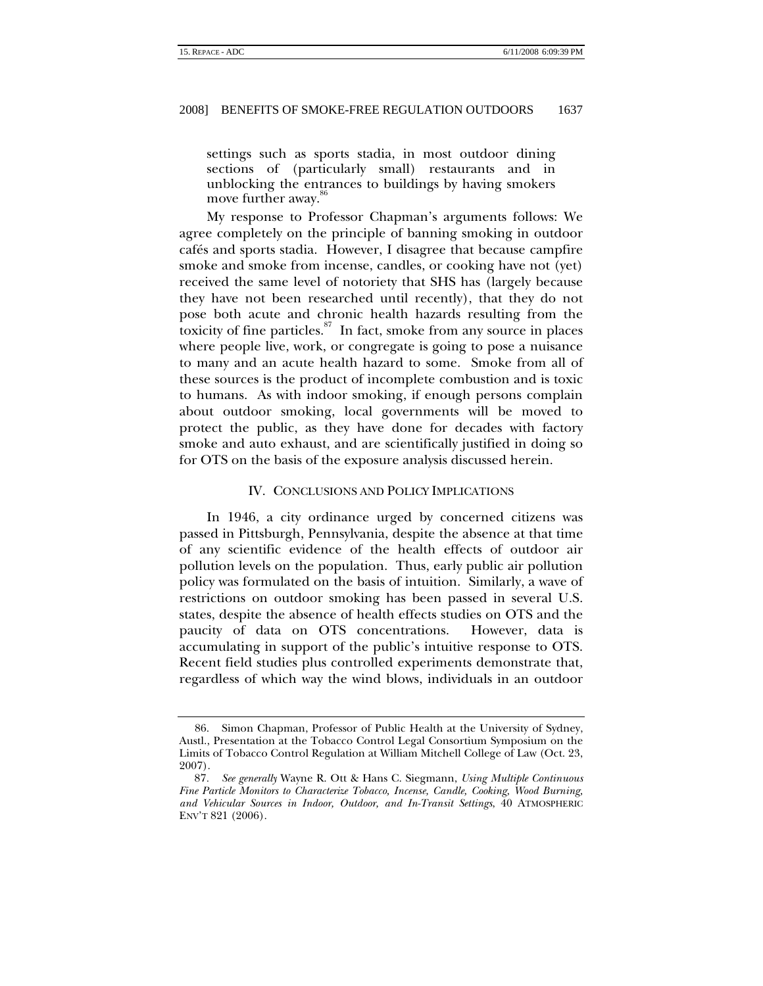<span id="page-16-0"></span>settings such as sports stadia, in most outdoor dining sections of (particularly small) restaurants and in unblocking the entrances to buildings by having smokers move further away.

My response to Professor Chapman's arguments follows: We agree completely on the principle of banning smoking in outdoor cafés and sports stadia. However, I disagree that because campfire smoke and smoke from incense, candles, or cooking have not (yet) received the same level of notoriety that SHS has (largely because they have not been researched until recently), that they do not pose both acute and chronic health hazards resulting from the toxicity of fine particles. $87$  In fact, smoke from any source in places where people live, work, or congregate is going to pose a nuisance to many and an acute health hazard to some. Smoke from all of these sources is the product of incomplete combustion and is toxic to humans. As with indoor smoking, if enough persons complain about outdoor smoking, local governments will be moved to protect the public, as they have done for decades with factory smoke and auto exhaust, and are scientifically justified in doing so for OTS on the basis of the exposure analysis discussed herein.

#### IV. CONCLUSIONS AND POLICY IMPLICATIONS

In 1946, a city ordinance urged by concerned citizens was passed in Pittsburgh, Pennsylvania, despite the absence at that time of any scientific evidence of the health effects of outdoor air pollution levels on the population. Thus, early public air pollution policy was formulated on the basis of intuition. Similarly, a wave of restrictions on outdoor smoking has been passed in several U.S. states, despite the absence of health effects studies on OTS and the paucity of data on OTS concentrations. However, data is accumulating in support of the public's intuitive response to OTS. Recent field studies plus controlled experiments demonstrate that, regardless of which way the wind blows, individuals in an outdoor

<span id="page-16-1"></span><sup>86.</sup> Simon Chapman, Professor of Public Health at the University of Sydney, Austl., Presentation at the Tobacco Control Legal Consortium Symposium on the Limits of Tobacco Control Regulation at William Mitchell College of Law (Oct. 23, 2007).

<span id="page-16-2"></span><sup>87</sup>*. See generally* Wayne R. Ott & Hans C. Siegmann, *Using Multiple Continuous Fine Particle Monitors to Characterize Tobacco, Incense, Candle, Cooking, Wood Burning, and Vehicular Sources in Indoor, Outdoor, and In-Transit Settings*, 40 ATMOSPHERIC ENV'T 821 (2006).